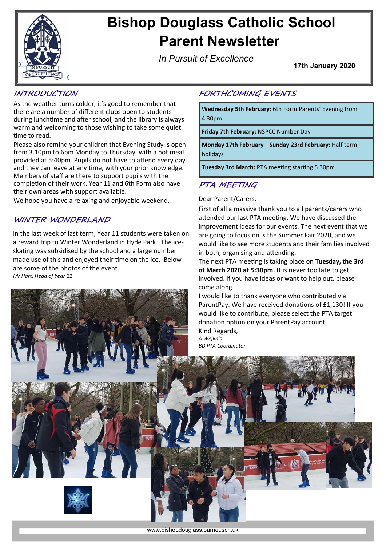

# **Bishop Douglass Catholic School Parent Newsletter**

*In Pursuit of Excellence*

**17th January 2020** 

## **INTRODUCTION**

As the weather turns colder, it's good to remember that there are a number of different clubs open to students during lunchtime and after school, and the library is always warm and welcoming to those wishing to take some quiet time to read.

Please also remind your children that Evening Study is open from 3.10pm to 6pm Monday to Thursday, with a hot meal provided at 5:40pm. Pupils do not have to attend every day and they can leave at any time, with your prior knowledge. Members of staff are there to support pupils with the completion of their work. Year 11 and 6th Form also have their own areas with support available.

We hope you have a relaxing and enjoyable weekend.

## **WINTER WONDERLAND**

In the last week of last term, Year 11 students were taken on a reward trip to Winter Wonderland in Hyde Park. The ice‐ skating was subsidised by the school and a large number made use of this and enjoyed their time on the ice. Below are some of the photos of the event. *Mr Hart, Head of Year 11* 

# **FORTHCOMING EVENTS**

**Wednesday 5th February:** 6th Form Parents' Evening from 4.30pm

**Friday 7th February:** NSPCC Number Day

**Monday 17th February—Sunday 23rd February:** Half term holidays

**Tuesday 3rd March: PTA meeting starting 5.30pm.** 

## **PTA MEETING**

#### Dear Parent/Carers,

First of all a massive thank you to all parents/carers who attended our last PTA meeting. We have discussed the improvement ideas for our events. The next event that we are going to focus on is the Summer Fair 2020, and we would like to see more students and their families involved in both, organising and attending.

The next PTA meeting is taking place on Tuesday, the 3rd **of March 2020 at 5:30pm.** It is never too late to get involved. If you have ideas or want to help out, please come along.

I would like to thank everyone who contributed via ParentPay. We have received donations of £1,130! If you would like to contribute, please select the PTA target donation option on your ParentPay account. Kind Regards,

*A Wejknis BD PTA Coordinator* 

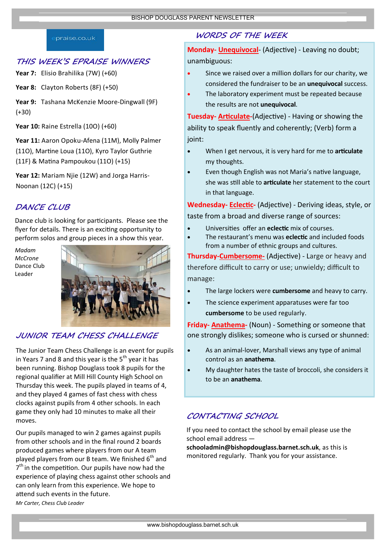#### praise.co.uk

#### **THIS WEEK'S EPRAISE WINNERS**

**Year 7:** Elisio Brahilika (7W) (+60)

**Year 8:** Clayton Roberts (8F) (+50)

**Year 9:** Tashana McKenzie Moore‐Dingwall (9F) (+30)

**Year 10:** Raine Estrella (10O) (+60)

**Year 11:** Aaron Opoku‐Afena (11M), Molly Palmer (110), Martine Loua (110), Kyro Taylor Guthrie (11F) & MaƟna Pampoukou (11O) (+15)

**Year 12:** Mariam Njie (12W) and Jorga Harris‐ Noonan (12C) (+15)

### **DANCE CLUB**

Dance club is looking for participants. Please see the flyer for details. There is an exciting opportunity to perform solos and group pieces in a show this year.

*Madam McCrone*  Dance Club Leader



### **JUNIOR TEAM CHESS CHALLENGE**

The Junior Team Chess Challenge is an event for pupils in Years 7 and 8 and this year is the  $5<sup>th</sup>$  year it has been running. Bishop Douglass took 8 pupils for the regional qualifier at Mill Hill County High School on Thursday this week. The pupils played in teams of 4, and they played 4 games of fast chess with chess clocks against pupils from 4 other schools. In each game they only had 10 minutes to make all their moves.

Our pupils managed to win 2 games against pupils from other schools and in the final round 2 boards produced games where players from our A team played players from our B team. We finished  $6<sup>th</sup>$  and  $7<sup>th</sup>$  in the competition. Our pupils have now had the experience of playing chess against other schools and can only learn from this experience. We hope to attend such events in the future. *Mr Carter, Chess Club Leader* 

## **WORDS OF THE WEEK**

Monday- **Unequivocal**- (Adjective) - Leaving no doubt; unambiguous:

- Since we raised over a million dollars for our charity, we considered the fundraiser to be an **unequivocal** success.
- The laboratory experiment must be repeated because the results are not **unequivocal**.

**Tuesday- Articulate-**(Adjective) - Having or showing the ability to speak fluently and coherently; (Verb) form a ioint:

- When I get nervous, it is very hard for me to **articulate** my thoughts.
- Even though English was not Maria's native language, she was sƟll able to **arƟculate** her statement to the court in that language.

Wednesday- Eclectic- (Adjective) - Deriving ideas, style, or

taste from a broad and diverse range of sources:

- UniversiƟes offer an **eclecƟc** mix of courses.
- The restaurant's menu was **eclectic** and included foods from a number of ethnic groups and cultures.

**Thursday-Cumbersome-** (Adjective) - Large or heavy and therefore difficult to carry or use; unwieldy; difficult to manage:

- The large lockers were **cumbersome** and heavy to carry.
- The science experiment apparatuses were far too **cumbersome** to be used regularly.

**Friday‐ Anathema‐** (Noun) ‐ Something or someone that one strongly dislikes; someone who is cursed or shunned:

- As an animal-lover, Marshall views any type of animal control as an **anathema**.
- My daughter hates the taste of broccoli, she considers it to be an **anathema**.

## **CONTACTING SCHOOL**

If you need to contact the school by email please use the school email address —

**schooladmin@bishopdouglass.barnet.sch.uk**, as this is monitored regularly. Thank you for your assistance.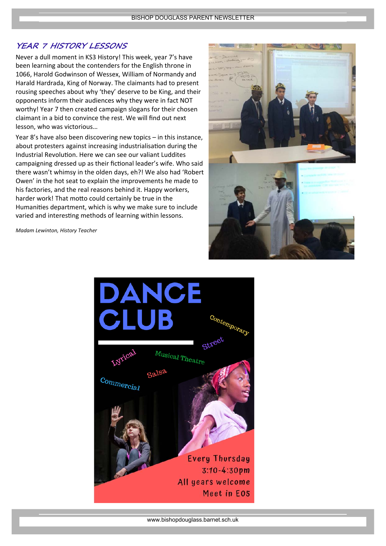## **YEAR 7 HISTORY LESSONS**

Never a dull moment in KS3 History! This week, year 7's have been learning about the contenders for the English throne in 1066, Harold Godwinson of Wessex, William of Normandy and Harald Hardrada, King of Norway. The claimants had to present rousing speeches about why 'they' deserve to be King, and their opponents inform their audiences why they were in fact NOT worthy! Year 7 then created campaign slogans for their chosen claimant in a bid to convince the rest. We will find out next lesson, who was victorious…

Year 8's have also been discovering new topics – in this instance, about protesters against increasing industrialisation during the Industrial Revolution. Here we can see our valiant Luddites campaigning dressed up as their fictional leader's wife. Who said there wasn't whimsy in the olden days, eh?! We also had 'Robert Owen' in the hot seat to explain the improvements he made to his factories, and the real reasons behind it. Happy workers, harder work! That motto could certainly be true in the Humanities department, which is why we make sure to include varied and interesting methods of learning within lessons.

*Madam Lewinton, History Teacher*